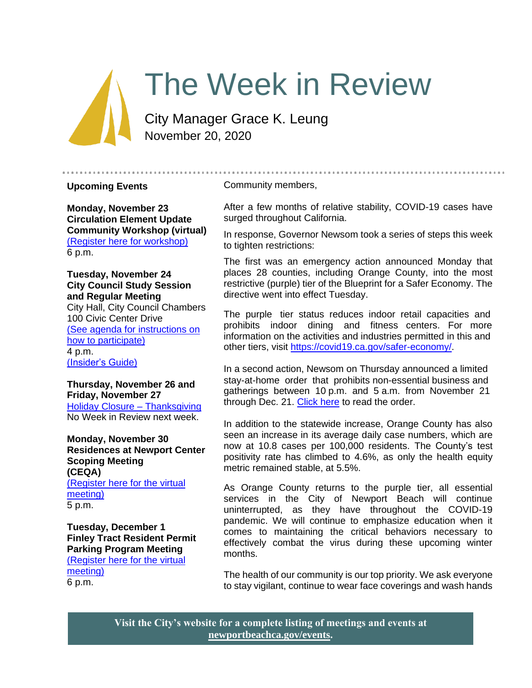# The Week in Review

City Manager Grace K. Leung November 20, 2020

#### **Upcoming Events**

Community members,

**Monday, November 23 Circulation Element Update Community Workshop (virtual)** [\(Register here for workshop\)](https://zoom.us/meeting/register/tJElcO6uqTIqGt0UFWmdFVWSLi_acVETngW4) 6 p.m.

**Tuesday, November 24 City Council Study Session and Regular Meeting** City Hall, City Council Chambers 100 Civic Center Drive [\(See agenda for instructions on](https://newportbeachca.gov/Home/Components/Calendar/Event/64236/72)  [how to participate\)](https://newportbeachca.gov/Home/Components/Calendar/Event/64236/72) 4 p.m. [\(Insider's Guide\)](https://newportbeachca.gov/government/departments/city-manager-s-office/insider-s-guide)

**Thursday, November 26 and Friday, November 27** [Holiday Closure –](https://newportbeachca.gov/Home/Components/Calendar/Event/63695/72) Thanksgiving No Week in Review next week.

**Monday, November 30 Residences at Newport Center Scoping Meeting (CEQA)** [\(Register here for the virtual](https://zoom.us/webinar/register/WN_TaDlB-M-Rtyo4TfojHQ5HQ)  [meeting\)](https://zoom.us/webinar/register/WN_TaDlB-M-Rtyo4TfojHQ5HQ) 5 p.m.

**Tuesday, December 1 Finley Tract Resident Permit Parking Program Meeting** [\(Register here for the virtual](https://zoom.us/webinar/register/WN_UZrmxNXKQy6V_2LNe9WV0g)  [meeting\)](https://zoom.us/webinar/register/WN_UZrmxNXKQy6V_2LNe9WV0g)

6 p.m.

After a few months of relative stability, COVID-19 cases have surged throughout California.

In response, Governor Newsom took a series of steps this week to tighten restrictions:

The first was an emergency action announced Monday that places 28 counties, including Orange County, into the most restrictive (purple) tier of the Blueprint for a Safer Economy. The directive went into effect Tuesday.

The purple tier status reduces indoor retail capacities and prohibits indoor dining and fitness centers. For more information on the activities and industries permitted in this and other tiers, visit [https://covid19.ca.gov/safer-economy/.](https://covid19.ca.gov/safer-economy/)

In a second action, Newsom on Thursday announced a limited stay-at-home order that prohibits non-essential business and gatherings between 10 p.m. and 5 a.m. from November 21 through Dec. 21. [Click here](https://www.cdph.ca.gov/Programs/CID/DCDC/Pages/COVID-19/limited-stay-at-home-order.aspx) to read the order.

In addition to the statewide increase, Orange County has also seen an increase in its average daily case numbers, which are now at 10.8 cases per 100,000 residents. The County's test positivity rate has climbed to 4.6%, as only the health equity metric remained stable, at 5.5%.

As Orange County returns to the purple tier, all essential services in the City of Newport Beach will continue uninterrupted, as they have throughout the COVID-19 pandemic. We will continue to emphasize education when it comes to maintaining the critical behaviors necessary to effectively combat the virus during these upcoming winter months.

The health of our community is our top priority. We ask everyone to stay vigilant, continue to wear face coverings and wash hands

**Visit the City's website for a complete listing of meetings and events at [newportbeachca.gov/events.](https://www.newportbeachca.gov/government/open-government/city-calendar)**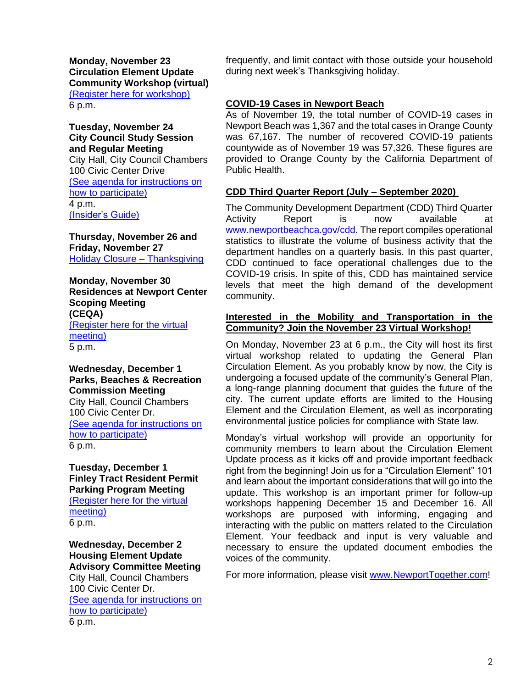**Monday, November 23 Circulation Element Update Community Workshop (virtual)** [\(Register here for workshop\)](https://zoom.us/meeting/register/tJElcO6uqTIqGt0UFWmdFVWSLi_acVETngW4) 6 p.m.

**Tuesday, November 24 City Council Study Session and Regular Meeting** City Hall, City Council Chambers 100 Civic Center Drive [\(See agenda for instructions on](https://newportbeachca.gov/Home/Components/Calendar/Event/64236/72)  [how to participate\)](https://newportbeachca.gov/Home/Components/Calendar/Event/64236/72) 4 p.m. [\(Insider's Guide\)](https://newportbeachca.gov/government/departments/city-manager-s-office/insider-s-guide)

**Thursday, November 26 and Friday, November 27** [Holiday Closure –](https://newportbeachca.gov/Home/Components/Calendar/Event/63695/72) Thanksgiving

**Monday, November 30 Residences at Newport Center Scoping Meeting (CEQA)** [\(Register here for the virtual](https://zoom.us/webinar/register/WN_TaDlB-M-Rtyo4TfojHQ5HQ)  [meeting\)](https://zoom.us/webinar/register/WN_TaDlB-M-Rtyo4TfojHQ5HQ) 5 p.m.

#### **Wednesday, December 1 Parks, Beaches & Recreation Commission Meeting**

City Hall, Council Chambers 100 Civic Center Dr. [\(See agenda for instructions on](https://newportbeachca.gov/Home/Components/Calendar/Event/52461/72?curm=12&cury=2020)  [how to participate\)](https://newportbeachca.gov/Home/Components/Calendar/Event/52461/72?curm=12&cury=2020) 6 p.m.

**Tuesday, December 1 Finley Tract Resident Permit Parking Program Meeting** [\(Register here for the virtual](https://zoom.us/webinar/register/WN_UZrmxNXKQy6V_2LNe9WV0g)  [meeting\)](https://zoom.us/webinar/register/WN_UZrmxNXKQy6V_2LNe9WV0g) 6 p.m.

**Wednesday, December 2 Housing Element Update Advisory Committee Meeting** City Hall, Council Chambers 100 Civic Center Dr. [\(See agenda for instructions on](https://www.newportbeachca.gov/government/data-hub/agendas-minutes/housing-element-update-advisory-committee)  [how to participate\)](https://www.newportbeachca.gov/government/data-hub/agendas-minutes/housing-element-update-advisory-committee) 6 p.m.

frequently, and limit contact with those outside your household during next week's Thanksgiving holiday.

# **COVID-19 Cases in Newport Beach**

As of November 19, the total number of COVID-19 cases in Newport Beach was 1,367 and the total cases in Orange County was 67,167. The number of recovered COVID-19 patients countywide as of November 19 was 57,326. These figures are provided to Orange County by the California Department of Public Health.

## **CDD Third Quarter Report (July – September 2020)**

The Community Development Department (CDD) Third Quarter Activity Report is now available at [www.newportbeachca.gov/cdd.](http://www.newportbeachca.gov/cdd) The report compiles operational statistics to illustrate the volume of business activity that the department handles on a quarterly basis. In this past quarter, CDD continued to face operational challenges due to the COVID-19 crisis. In spite of this, CDD has maintained service levels that meet the high demand of the development community.

## **Interested in the Mobility and Transportation in the Community? Join the November 23 Virtual Workshop!**

On Monday, November 23 at 6 p.m., the City will host its first virtual workshop related to updating the General Plan Circulation Element. As you probably know by now, the City is undergoing a focused update of the community's General Plan, a long-range planning document that guides the future of the city. The current update efforts are limited to the Housing Element and the Circulation Element, as well as incorporating environmental justice policies for compliance with State law.

Monday's virtual workshop will provide an opportunity for community members to learn about the Circulation Element Update process as it kicks off and provide important feedback right from the beginning! Join us for a "Circulation Element" 101 and learn about the important considerations that will go into the update. This workshop is an important primer for follow-up workshops happening December 15 and December 16. All workshops are purposed with informing, engaging and interacting with the public on matters related to the Circulation Element. Your feedback and input is very valuable and necessary to ensure the updated document embodies the voices of the community.

For more information, please visit [www.NewportTogether.com!](http://www.newporttogether.com/)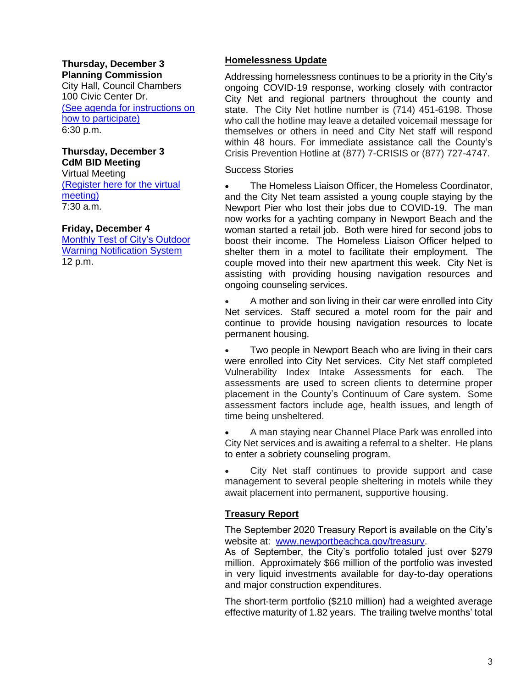#### **Thursday, December 3 Planning Commission**

City Hall, Council Chambers 100 Civic Center Dr. [\(See agenda for instructions on](https://www.newportbeachca.gov/government/departments/community-development/planning-division/planning-commission)  [how to participate\)](https://www.newportbeachca.gov/government/departments/community-development/planning-division/planning-commission) 6:30 p.m.

# **Thursday, December 3 CdM BID Meeting**

Virtual Meeting [\(Register here for the virtual](https://zoom.us/webinar/register/WN_tYsqnya9T56_NeJ9BLvTZQ)  [meeting\)](https://zoom.us/webinar/register/WN_tYsqnya9T56_NeJ9BLvTZQ) 7:30 a.m.

## **Friday, December 4**

[Monthly Test of City's Outdoor](https://newportbeachca.gov/Home/Components/Calendar/Event/63491/72?curm=12&cury=2020)  [Warning Notification System](https://newportbeachca.gov/Home/Components/Calendar/Event/63491/72?curm=12&cury=2020) 12 p.m.

## **Homelessness Update**

Addressing homelessness continues to be a priority in the City's ongoing COVID-19 response, working closely with contractor City Net and regional partners throughout the county and state. The City Net hotline number is (714) 451-6198. Those who call the hotline may leave a detailed voicemail message for themselves or others in need and City Net staff will respond within 48 hours. For immediate assistance call the County's Crisis Prevention Hotline at (877) 7-CRISIS or (877) 727-4747.

Success Stories

• The Homeless Liaison Officer, the Homeless Coordinator, and the City Net team assisted a young couple staying by the Newport Pier who lost their jobs due to COVID-19. The man now works for a yachting company in Newport Beach and the woman started a retail job. Both were hired for second jobs to boost their income. The Homeless Liaison Officer helped to shelter them in a motel to facilitate their employment. The couple moved into their new apartment this week. City Net is assisting with providing housing navigation resources and ongoing counseling services.

• A mother and son living in their car were enrolled into City Net services. Staff secured a motel room for the pair and continue to provide housing navigation resources to locate permanent housing.

Two people in Newport Beach who are living in their cars were enrolled into City Net services. City Net staff completed Vulnerability Index Intake Assessments for each. The assessments are used to screen clients to determine proper placement in the County's Continuum of Care system. Some assessment factors include age, health issues, and length of time being unsheltered.

• A man staying near Channel Place Park was enrolled into City Net services and is awaiting a referral to a shelter. He plans to enter a sobriety counseling program.

City Net staff continues to provide support and case management to several people sheltering in motels while they await placement into permanent, supportive housing.

# **Treasury Report**

The September 2020 Treasury Report is available on the City's website at: [www.newportbeachca.gov/treasury.](http://www.newportbeachca.gov/treasury)

As of September, the City's portfolio totaled just over \$279 million. Approximately \$66 million of the portfolio was invested in very liquid investments available for day-to-day operations and major construction expenditures.

The short-term portfolio (\$210 million) had a weighted average effective maturity of 1.82 years. The trailing twelve months' total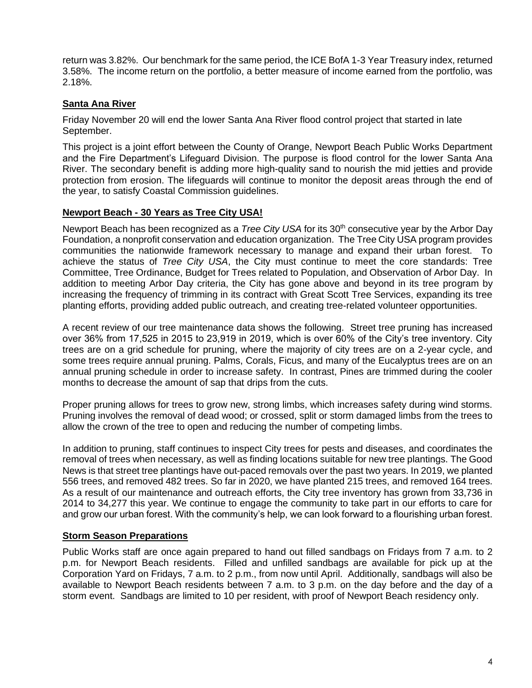return was 3.82%. Our benchmark for the same period, the ICE BofA 1-3 Year Treasury index, returned 3.58%. The income return on the portfolio, a better measure of income earned from the portfolio, was 2.18%.

# **Santa Ana River**

Friday November 20 will end the lower Santa Ana River flood control project that started in late September.

This project is a joint effort between the County of Orange, Newport Beach Public Works Department and the Fire Department's Lifeguard Division. The purpose is flood control for the lower Santa Ana River. The secondary benefit is adding more high-quality sand to nourish the mid jetties and provide protection from erosion. The lifeguards will continue to monitor the deposit areas through the end of the year, to satisfy Coastal Commission guidelines.

## **Newport Beach - 30 Years as Tree City USA!**

Newport Beach has been recognized as a *Tree City USA* for its 30<sup>th</sup> consecutive year by the Arbor Day Foundation, a nonprofit conservation and education organization. The Tree City USA program provides communities the nationwide framework necessary to manage and expand their urban forest. To achieve the status of *Tree City USA*, the City must continue to meet the core standards: Tree Committee, Tree Ordinance, Budget for Trees related to Population, and Observation of Arbor Day. In addition to meeting Arbor Day criteria, the City has gone above and beyond in its tree program by increasing the frequency of trimming in its contract with Great Scott Tree Services, expanding its tree planting efforts, providing added public outreach, and creating tree-related volunteer opportunities.

A recent review of our tree maintenance data shows the following. Street tree pruning has increased over 36% from 17,525 in 2015 to 23,919 in 2019, which is over 60% of the City's tree inventory. City trees are on a grid schedule for pruning, where the majority of city trees are on a 2-year cycle, and some trees require annual pruning. Palms, Corals, Ficus, and many of the Eucalyptus trees are on an annual pruning schedule in order to increase safety. In contrast, Pines are trimmed during the cooler months to decrease the amount of sap that drips from the cuts.

Proper pruning allows for trees to grow new, strong limbs, which increases safety during wind storms. Pruning involves the removal of dead wood; or crossed, split or storm damaged limbs from the trees to allow the crown of the tree to open and reducing the number of competing limbs.

In addition to pruning, staff continues to inspect City trees for pests and diseases, and coordinates the removal of trees when necessary, as well as finding locations suitable for new tree plantings. The Good News is that street tree plantings have out-paced removals over the past two years. In 2019, we planted 556 trees, and removed 482 trees. So far in 2020, we have planted 215 trees, and removed 164 trees. As a result of our maintenance and outreach efforts, the City tree inventory has grown from 33,736 in 2014 to 34,277 this year. We continue to engage the community to take part in our efforts to care for and grow our urban forest. With the community's help, we can look forward to a flourishing urban forest.

## **Storm Season Preparations**

Public Works staff are once again prepared to hand out filled sandbags on Fridays from 7 a.m. to 2 p.m. for Newport Beach residents. Filled and unfilled sandbags are available for pick up at the Corporation Yard on Fridays, 7 a.m. to 2 p.m., from now until April. Additionally, sandbags will also be available to Newport Beach residents between 7 a.m. to 3 p.m. on the day before and the day of a storm event. Sandbags are limited to 10 per resident, with proof of Newport Beach residency only.